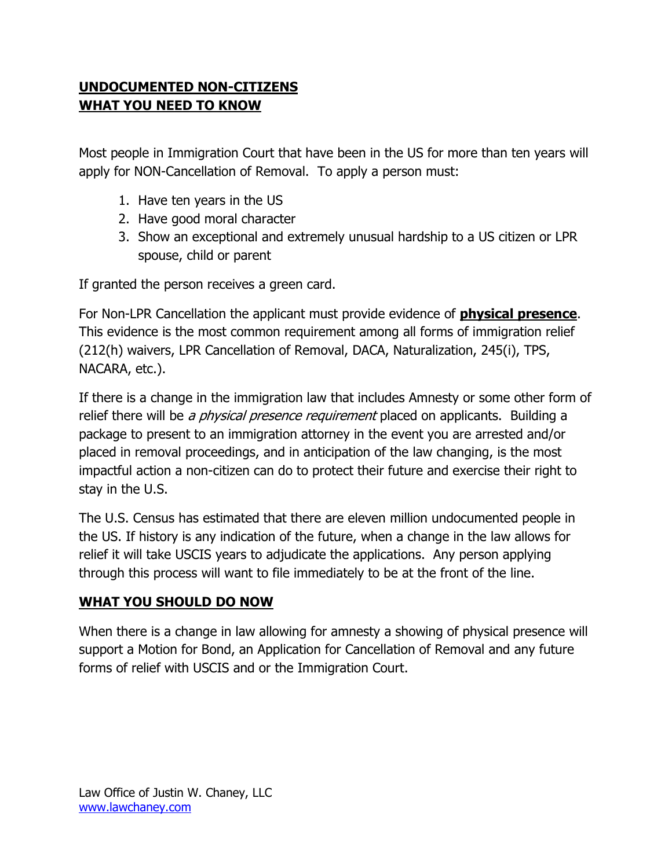## **UNDOCUMENTED NON-CITIZENS WHAT YOU NEED TO KNOW**

Most people in Immigration Court that have been in the US for more than ten years will apply for NON-Cancellation of Removal. To apply a person must:

- 1. Have ten years in the US
- 2. Have good moral character
- 3. Show an exceptional and extremely unusual hardship to a US citizen or LPR spouse, child or parent

If granted the person receives a green card.

For Non-LPR Cancellation the applicant must provide evidence of **physical presence**. This evidence is the most common requirement among all forms of immigration relief (212(h) waivers, LPR Cancellation of Removal, DACA, Naturalization, 245(i), TPS, NACARA, etc.).

If there is a change in the immigration law that includes Amnesty or some other form of relief there will be *a physical presence requirement* placed on applicants. Building a package to present to an immigration attorney in the event you are arrested and/or placed in removal proceedings, and in anticipation of the law changing, is the most impactful action a non-citizen can do to protect their future and exercise their right to stay in the U.S.

The U.S. Census has estimated that there are eleven million undocumented people in the US. If history is any indication of the future, when a change in the law allows for relief it will take USCIS years to adjudicate the applications. Any person applying through this process will want to file immediately to be at the front of the line.

## **WHAT YOU SHOULD DO NOW**

When there is a change in law allowing for amnesty a showing of physical presence will support a Motion for Bond, an Application for Cancellation of Removal and any future forms of relief with USCIS and or the Immigration Court.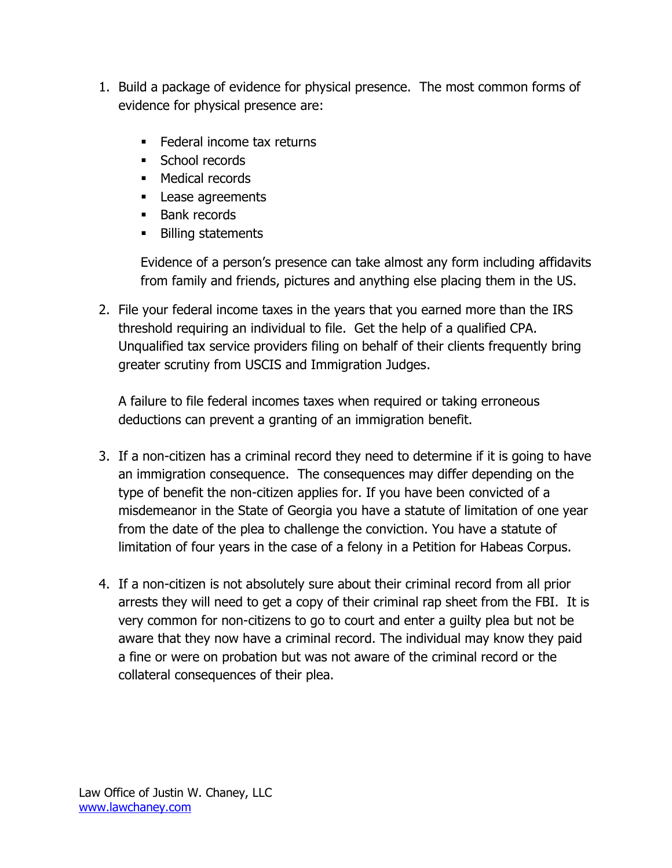- 1. Build a package of evidence for physical presence. The most common forms of evidence for physical presence are:
	- **Federal income tax returns**
	- **School records**
	- **Medical records**
	- **Lease agreements**
	- **Bank records**
	- Billing statements

Evidence of a person's presence can take almost any form including affidavits from family and friends, pictures and anything else placing them in the US.

2. File your federal income taxes in the years that you earned more than the IRS threshold requiring an individual to file. Get the help of a qualified CPA. Unqualified tax service providers filing on behalf of their clients frequently bring greater scrutiny from USCIS and Immigration Judges.

A failure to file federal incomes taxes when required or taking erroneous deductions can prevent a granting of an immigration benefit.

- 3. If a non-citizen has a criminal record they need to determine if it is going to have an immigration consequence. The consequences may differ depending on the type of benefit the non-citizen applies for. If you have been convicted of a misdemeanor in the State of Georgia you have a statute of limitation of one year from the date of the plea to challenge the conviction. You have a statute of limitation of four years in the case of a felony in a Petition for Habeas Corpus.
- 4. If a non-citizen is not absolutely sure about their criminal record from all prior arrests they will need to get a copy of their criminal rap sheet from the FBI. It is very common for non-citizens to go to court and enter a guilty plea but not be aware that they now have a criminal record. The individual may know they paid a fine or were on probation but was not aware of the criminal record or the collateral consequences of their plea.